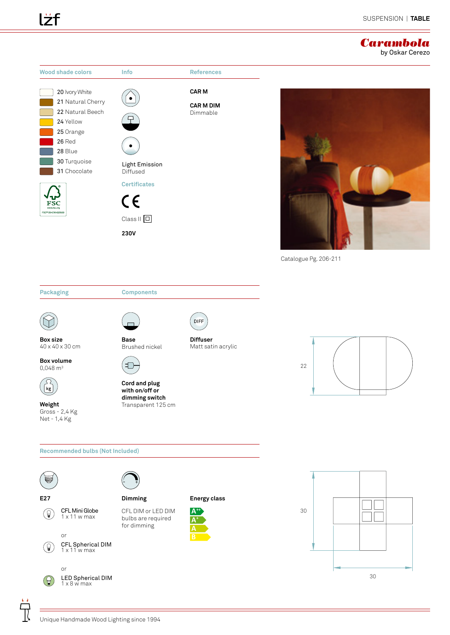#### *Carambola* by Oskar Cerezo



**Box size** 40 x 40 x 30 cm

**Box volume**  $0,048 \text{ m}^3$ 



**Weight** Gross - 2,4 Kg Net - 1,4 Kg



**Base** Brushed nickel

Ð

**Cord and plug with on/off or dimming switch** Transparent 125 cm



**Diffuser** Matt satin acrylic



**Recommended bulbs (Not Included) E27 Dimming Energy class**CFL DIM or LED DIM CFL Mini Globe **A**+  $\left( \text{\large $\theta$}\right)$ 1 x 11 w max bulbs are required **A+** for dimming **A** or  **B** CFL Spherical DIM 1 x 11 w max  $(\theta)$ or LED Spherical DIM  $\left( \Theta \right)$  $1 \times 8$  w max

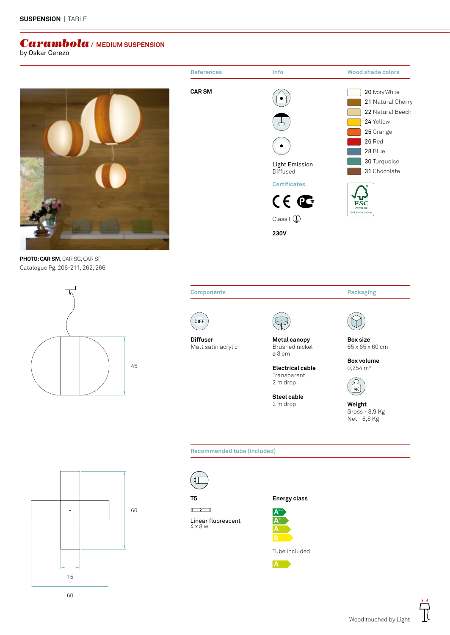### *Carambola* **/ MEDIUM SUSPENSION**

by Oskar Cerezo



Catalogue Pg. 206-211, 262, 266 **PHOTO: CAR SM**, CAR SG, CAR SP







**Electrical cable** Transparent

2 m drop **Steel cable** 2 m drop

**Box volume**  $0,254 \text{ m}^3$ 



**Weight** Gross - 8,9 Kg Net - 6,6 Kg

**Recommended tube (Included)**



 $\Box$ 

Linear fluorescent 4 x 8 w



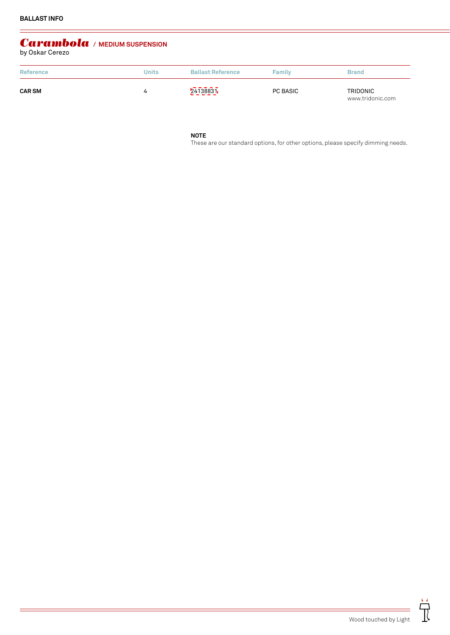# *Carambola* **/ MEDIUM SUSPENSION** by Oskar Cerezo

| Reference     | <b>Units</b> | <b>Ballast Reference</b> | Family   | <b>Brand</b>                        |
|---------------|--------------|--------------------------|----------|-------------------------------------|
| <b>CAR SM</b> |              | 24138831                 | PC BASIC | <b>TRIDONIC</b><br>www.tridonic.com |

**NOTE**

These are our standard options, for other options, please specify dimming needs.

 $\ddot{\vec{\mathbb{I}}}$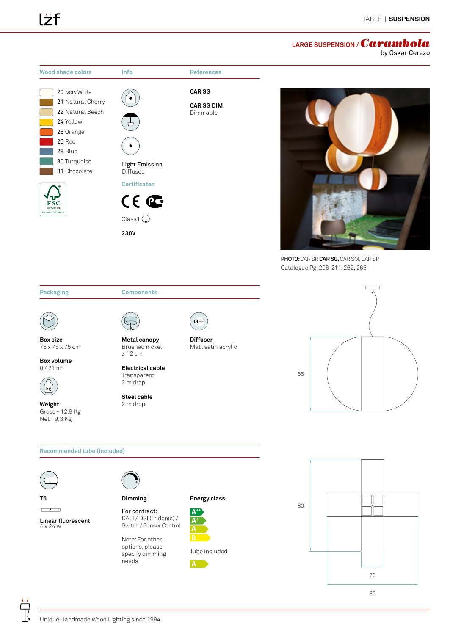## **LARGE SUSPENSION /** *Carambola*

by Oskar Cerezo





**Izf** 

**Weight** Gross - 12,9 Kg Net - 9,3 Kg

**Transparent** 2 m drop

**Steel cable** 2 m drop



```
Recommended tube (Included)
T5 Energy class
                       Dimming\BoxFor contract:
                                            A++
                       DALI / DSI (Tridonic) / 
Linear fluorescent
                                            A+
                       Switch / Sensor Control
4 x 24 w
                                            A
                       Note: For other 
                       options, please 
                                           Tube included
                       specify dimming 
                       needs
                                           A
```